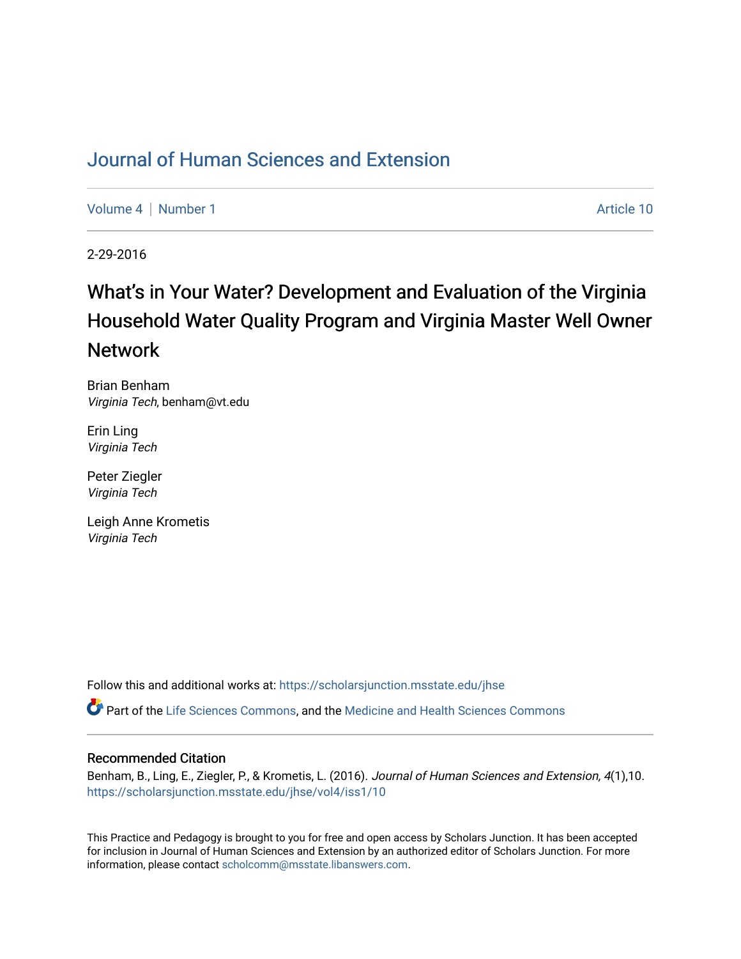## [Journal of Human Sciences and Extension](https://scholarsjunction.msstate.edu/jhse)

[Volume 4](https://scholarsjunction.msstate.edu/jhse/vol4) | [Number 1](https://scholarsjunction.msstate.edu/jhse/vol4/iss1) Article 10

2-29-2016

# What's in Your Water? Development and Evaluation of the Virginia Household Water Quality Program and Virginia Master Well Owner Network

Brian Benham Virginia Tech, benham@vt.edu

Erin Ling Virginia Tech

Peter Ziegler Virginia Tech

Leigh Anne Krometis Virginia Tech

Follow this and additional works at: [https://scholarsjunction.msstate.edu/jhse](https://scholarsjunction.msstate.edu/jhse?utm_source=scholarsjunction.msstate.edu%2Fjhse%2Fvol4%2Fiss1%2F10&utm_medium=PDF&utm_campaign=PDFCoverPages)

Part of the [Life Sciences Commons,](http://network.bepress.com/hgg/discipline/1016?utm_source=scholarsjunction.msstate.edu%2Fjhse%2Fvol4%2Fiss1%2F10&utm_medium=PDF&utm_campaign=PDFCoverPages) and the [Medicine and Health Sciences Commons](http://network.bepress.com/hgg/discipline/648?utm_source=scholarsjunction.msstate.edu%2Fjhse%2Fvol4%2Fiss1%2F10&utm_medium=PDF&utm_campaign=PDFCoverPages)

#### Recommended Citation

Benham, B., Ling, E., Ziegler, P., & Krometis, L. (2016). Journal of Human Sciences and Extension, 4(1),10. [https://scholarsjunction.msstate.edu/jhse/vol4/iss1/10](https://scholarsjunction.msstate.edu/jhse/vol4/iss1/10?utm_source=scholarsjunction.msstate.edu%2Fjhse%2Fvol4%2Fiss1%2F10&utm_medium=PDF&utm_campaign=PDFCoverPages) 

This Practice and Pedagogy is brought to you for free and open access by Scholars Junction. It has been accepted for inclusion in Journal of Human Sciences and Extension by an authorized editor of Scholars Junction. For more information, please contact [scholcomm@msstate.libanswers.com](mailto:scholcomm@msstate.libanswers.com).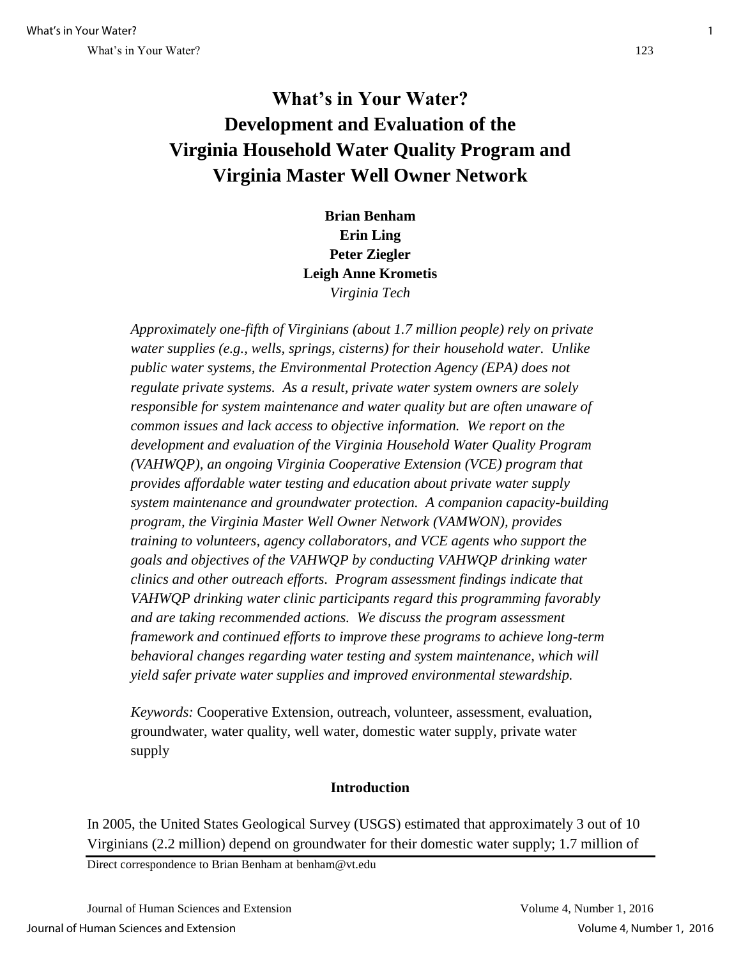## **What's in Your Water? Development and Evaluation of the Virginia Household Water Quality Program and Virginia Master Well Owner Network**

**Brian Benham Erin Ling Peter Ziegler Leigh Anne Krometis**  *Virginia Tech* 

*Approximately one-fifth of Virginians (about 1.7 million people) rely on private water supplies (e.g., wells, springs, cisterns) for their household water. Unlike public water systems, the Environmental Protection Agency (EPA) does not regulate private systems. As a result, private water system owners are solely responsible for system maintenance and water quality but are often unaware of common issues and lack access to objective information. We report on the development and evaluation of the Virginia Household Water Quality Program (VAHWQP), an ongoing Virginia Cooperative Extension (VCE) program that provides affordable water testing and education about private water supply system maintenance and groundwater protection. A companion capacity-building program, the Virginia Master Well Owner Network (VAMWON), provides training to volunteers, agency collaborators, and VCE agents who support the goals and objectives of the VAHWQP by conducting VAHWQP drinking water clinics and other outreach efforts. Program assessment findings indicate that VAHWQP drinking water clinic participants regard this programming favorably and are taking recommended actions. We discuss the program assessment framework and continued efforts to improve these programs to achieve long-term behavioral changes regarding water testing and system maintenance, which will yield safer private water supplies and improved environmental stewardship.* 

*Keywords:* Cooperative Extension, outreach, volunteer, assessment, evaluation, groundwater, water quality, well water, domestic water supply, private water supply

#### **Introduction**

In 2005, the United States Geological Survey (USGS) estimated that approximately 3 out of 10 Virginians (2.2 million) depend on groundwater for their domestic water supply; 1.7 million of

Direct correspondence to Brian Benham at benham@vt.edu

Journal of Human Sciences and Extension Volume 4, Number 1, 2016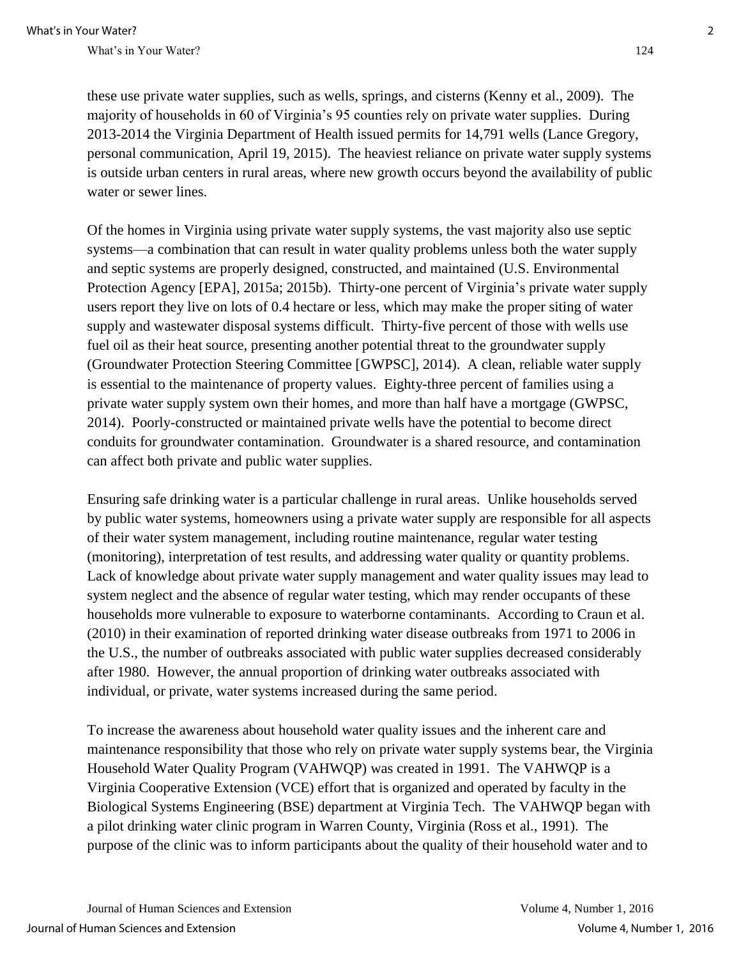these use private water supplies, such as wells, springs, and cisterns (Kenny et al., 2009). The majority of households in 60 of Virginia's 95 counties rely on private water supplies. During 2013-2014 the Virginia Department of Health issued permits for 14,791 wells (Lance Gregory, personal communication, April 19, 2015). The heaviest reliance on private water supply systems is outside urban centers in rural areas, where new growth occurs beyond the availability of public water or sewer lines.

Of the homes in Virginia using private water supply systems, the vast majority also use septic systems—a combination that can result in water quality problems unless both the water supply and septic systems are properly designed, constructed, and maintained (U.S. Environmental Protection Agency [EPA], 2015a; 2015b). Thirty-one percent of Virginia's private water supply users report they live on lots of 0.4 hectare or less, which may make the proper siting of water supply and wastewater disposal systems difficult. Thirty-five percent of those with wells use fuel oil as their heat source, presenting another potential threat to the groundwater supply (Groundwater Protection Steering Committee [GWPSC], 2014). A clean, reliable water supply is essential to the maintenance of property values. Eighty-three percent of families using a private water supply system own their homes, and more than half have a mortgage (GWPSC, 2014). Poorly-constructed or maintained private wells have the potential to become direct conduits for groundwater contamination. Groundwater is a shared resource, and contamination can affect both private and public water supplies.

Ensuring safe drinking water is a particular challenge in rural areas. Unlike households served by public water systems, homeowners using a private water supply are responsible for all aspects of their water system management, including routine maintenance, regular water testing (monitoring), interpretation of test results, and addressing water quality or quantity problems. Lack of knowledge about private water supply management and water quality issues may lead to system neglect and the absence of regular water testing, which may render occupants of these households more vulnerable to exposure to waterborne contaminants. According to Craun et al. (2010) in their examination of reported drinking water disease outbreaks from 1971 to 2006 in the U.S., the number of outbreaks associated with public water supplies decreased considerably after 1980. However, the annual proportion of drinking water outbreaks associated with individual, or private, water systems increased during the same period.

To increase the awareness about household water quality issues and the inherent care and maintenance responsibility that those who rely on private water supply systems bear, the Virginia Household Water Quality Program (VAHWQP) was created in 1991. The VAHWQP is a Virginia Cooperative Extension (VCE) effort that is organized and operated by faculty in the Biological Systems Engineering (BSE) department at Virginia Tech. The VAHWQP began with a pilot drinking water clinic program in Warren County, Virginia (Ross et al., 1991). The purpose of the clinic was to inform participants about the quality of their household water and to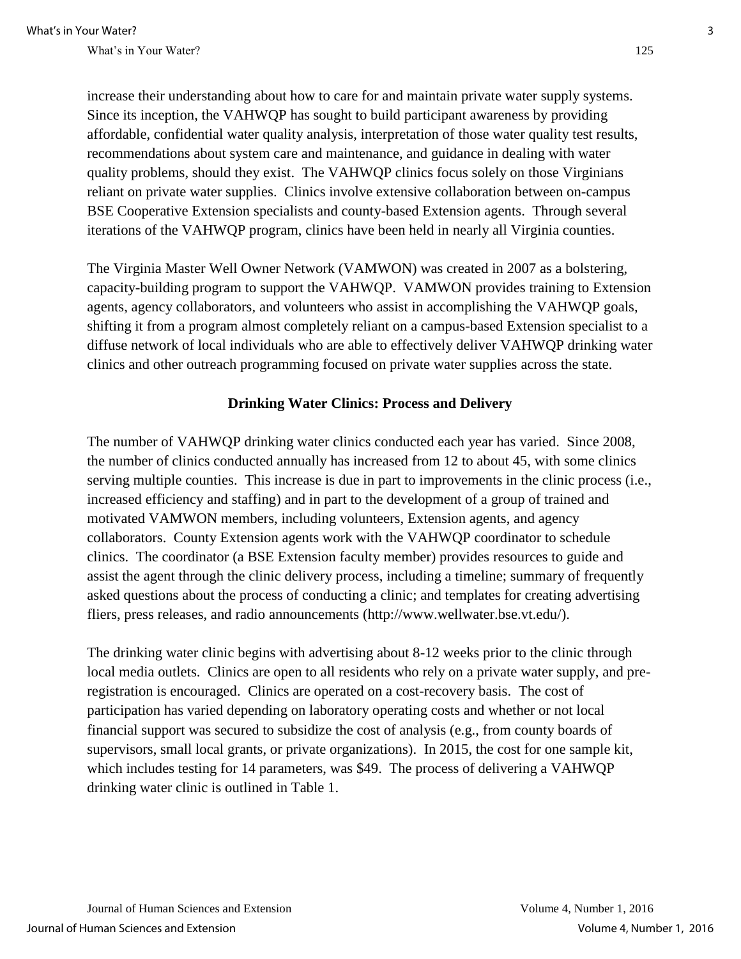increase their understanding about how to care for and maintain private water supply systems. Since its inception, the VAHWQP has sought to build participant awareness by providing affordable, confidential water quality analysis, interpretation of those water quality test results, recommendations about system care and maintenance, and guidance in dealing with water quality problems, should they exist. The VAHWQP clinics focus solely on those Virginians reliant on private water supplies. Clinics involve extensive collaboration between on-campus BSE Cooperative Extension specialists and county-based Extension agents. Through several iterations of the VAHWQP program, clinics have been held in nearly all Virginia counties.

The Virginia Master Well Owner Network (VAMWON) was created in 2007 as a bolstering, capacity-building program to support the VAHWQP. VAMWON provides training to Extension agents, agency collaborators, and volunteers who assist in accomplishing the VAHWQP goals, shifting it from a program almost completely reliant on a campus-based Extension specialist to a diffuse network of local individuals who are able to effectively deliver VAHWQP drinking water clinics and other outreach programming focused on private water supplies across the state.

#### **Drinking Water Clinics: Process and Delivery**

The number of VAHWQP drinking water clinics conducted each year has varied. Since 2008, the number of clinics conducted annually has increased from 12 to about 45, with some clinics serving multiple counties. This increase is due in part to improvements in the clinic process (i.e., increased efficiency and staffing) and in part to the development of a group of trained and motivated VAMWON members, including volunteers, Extension agents, and agency collaborators. County Extension agents work with the VAHWQP coordinator to schedule clinics. The coordinator (a BSE Extension faculty member) provides resources to guide and assist the agent through the clinic delivery process, including a timeline; summary of frequently asked questions about the process of conducting a clinic; and templates for creating advertising fliers, press releases, and radio announcements (http://www.wellwater.bse.vt.edu/).

The drinking water clinic begins with advertising about 8-12 weeks prior to the clinic through local media outlets. Clinics are open to all residents who rely on a private water supply, and preregistration is encouraged. Clinics are operated on a cost-recovery basis. The cost of participation has varied depending on laboratory operating costs and whether or not local financial support was secured to subsidize the cost of analysis (e.g., from county boards of supervisors, small local grants, or private organizations). In 2015, the cost for one sample kit, which includes testing for 14 parameters, was \$49. The process of delivering a VAHWQP drinking water clinic is outlined in Table 1.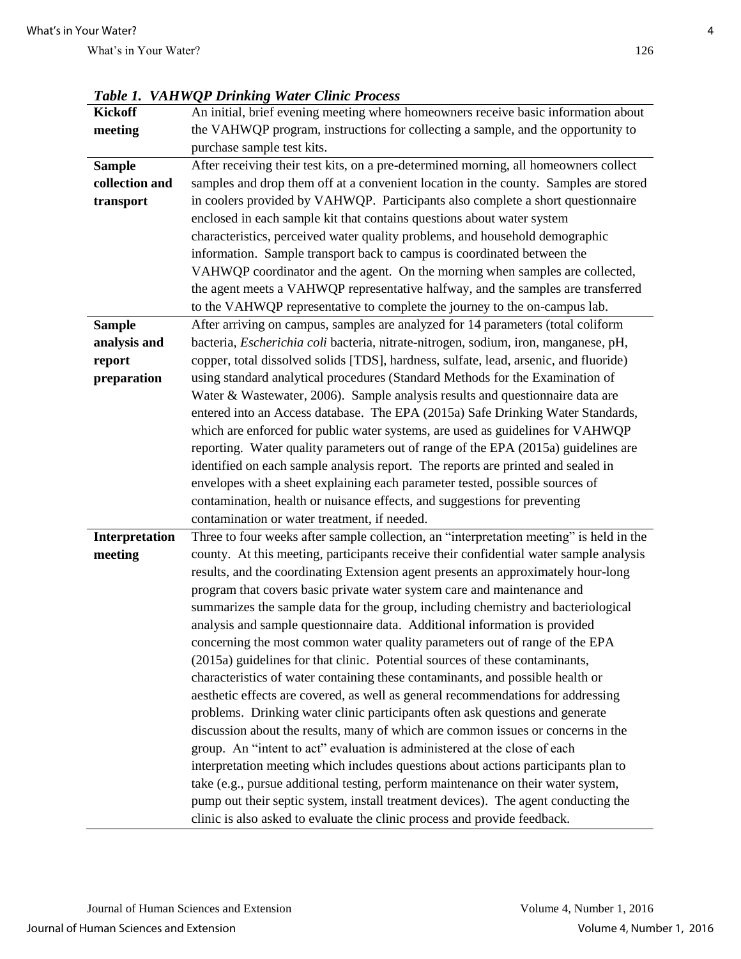| <i>Lable 1.</i> | VAH WQP Drinking Water Clinic Process                                                   |
|-----------------|-----------------------------------------------------------------------------------------|
| <b>Kickoff</b>  | An initial, brief evening meeting where homeowners receive basic information about      |
| meeting         | the VAHWQP program, instructions for collecting a sample, and the opportunity to        |
|                 | purchase sample test kits.                                                              |
| <b>Sample</b>   | After receiving their test kits, on a pre-determined morning, all homeowners collect    |
| collection and  | samples and drop them off at a convenient location in the county. Samples are stored    |
| transport       | in coolers provided by VAHWQP. Participants also complete a short questionnaire         |
|                 | enclosed in each sample kit that contains questions about water system                  |
|                 | characteristics, perceived water quality problems, and household demographic            |
|                 | information. Sample transport back to campus is coordinated between the                 |
|                 | VAHWQP coordinator and the agent. On the morning when samples are collected,            |
|                 | the agent meets a VAHWQP representative halfway, and the samples are transferred        |
|                 | to the VAHWQP representative to complete the journey to the on-campus lab.              |
| <b>Sample</b>   | After arriving on campus, samples are analyzed for 14 parameters (total coliform        |
| analysis and    | bacteria, Escherichia coli bacteria, nitrate-nitrogen, sodium, iron, manganese, pH,     |
| report          | copper, total dissolved solids [TDS], hardness, sulfate, lead, arsenic, and fluoride)   |
| preparation     | using standard analytical procedures (Standard Methods for the Examination of           |
|                 | Water & Wastewater, 2006). Sample analysis results and questionnaire data are           |
|                 | entered into an Access database. The EPA (2015a) Safe Drinking Water Standards,         |
|                 | which are enforced for public water systems, are used as guidelines for VAHWQP          |
|                 | reporting. Water quality parameters out of range of the EPA (2015a) guidelines are      |
|                 | identified on each sample analysis report. The reports are printed and sealed in        |
|                 | envelopes with a sheet explaining each parameter tested, possible sources of            |
|                 | contamination, health or nuisance effects, and suggestions for preventing               |
|                 | contamination or water treatment, if needed.                                            |
| Interpretation  | Three to four weeks after sample collection, an "interpretation meeting" is held in the |
| meeting         | county. At this meeting, participants receive their confidential water sample analysis  |
|                 | results, and the coordinating Extension agent presents an approximately hour-long       |
|                 | program that covers basic private water system care and maintenance and                 |
|                 | summarizes the sample data for the group, including chemistry and bacteriological       |
|                 | analysis and sample questionnaire data. Additional information is provided              |
|                 | concerning the most common water quality parameters out of range of the EPA             |
|                 | (2015a) guidelines for that clinic. Potential sources of these contaminants,            |
|                 | characteristics of water containing these contaminants, and possible health or          |
|                 | aesthetic effects are covered, as well as general recommendations for addressing        |
|                 | problems. Drinking water clinic participants often ask questions and generate           |
|                 | discussion about the results, many of which are common issues or concerns in the        |
|                 | group. An "intent to act" evaluation is administered at the close of each               |
|                 | interpretation meeting which includes questions about actions participants plan to      |
|                 | take (e.g., pursue additional testing, perform maintenance on their water system,       |
|                 | pump out their septic system, install treatment devices). The agent conducting the      |
|                 | clinic is also asked to evaluate the clinic process and provide feedback.               |

*Table 1. VAHWOP Drinking Water Clinic Problemation*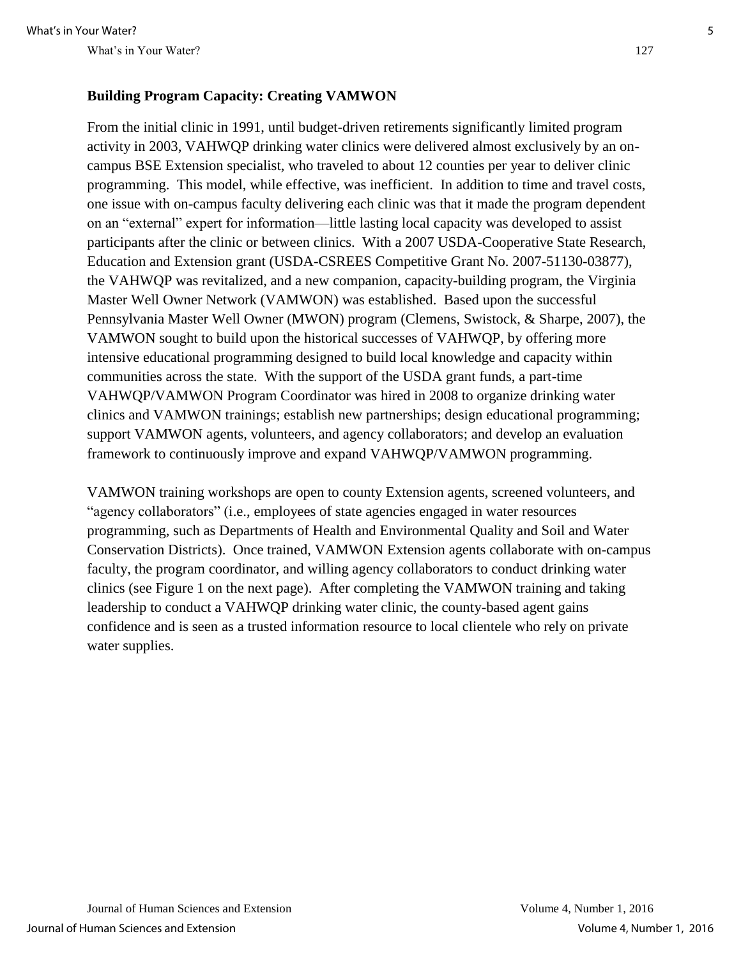#### **Building Program Capacity: Creating VAMWON**

From the initial clinic in 1991, until budget-driven retirements significantly limited program activity in 2003, VAHWQP drinking water clinics were delivered almost exclusively by an oncampus BSE Extension specialist, who traveled to about 12 counties per year to deliver clinic programming. This model, while effective, was inefficient. In addition to time and travel costs, one issue with on-campus faculty delivering each clinic was that it made the program dependent on an "external" expert for information—little lasting local capacity was developed to assist participants after the clinic or between clinics. With a 2007 USDA-Cooperative State Research, Education and Extension grant (USDA-CSREES Competitive Grant No. 2007-51130-03877), the VAHWQP was revitalized, and a new companion, capacity-building program, the Virginia Master Well Owner Network (VAMWON) was established. Based upon the successful Pennsylvania Master Well Owner (MWON) program (Clemens, Swistock, & Sharpe, 2007), the VAMWON sought to build upon the historical successes of VAHWQP, by offering more intensive educational programming designed to build local knowledge and capacity within communities across the state. With the support of the USDA grant funds, a part-time VAHWQP/VAMWON Program Coordinator was hired in 2008 to organize drinking water clinics and VAMWON trainings; establish new partnerships; design educational programming; support VAMWON agents, volunteers, and agency collaborators; and develop an evaluation framework to continuously improve and expand VAHWQP/VAMWON programming.

VAMWON training workshops are open to county Extension agents, screened volunteers, and "agency collaborators" (i.e., employees of state agencies engaged in water resources programming, such as Departments of Health and Environmental Quality and Soil and Water Conservation Districts). Once trained, VAMWON Extension agents collaborate with on-campus faculty, the program coordinator, and willing agency collaborators to conduct drinking water clinics (see Figure 1 on the next page). After completing the VAMWON training and taking leadership to conduct a VAHWQP drinking water clinic, the county-based agent gains confidence and is seen as a trusted information resource to local clientele who rely on private water supplies.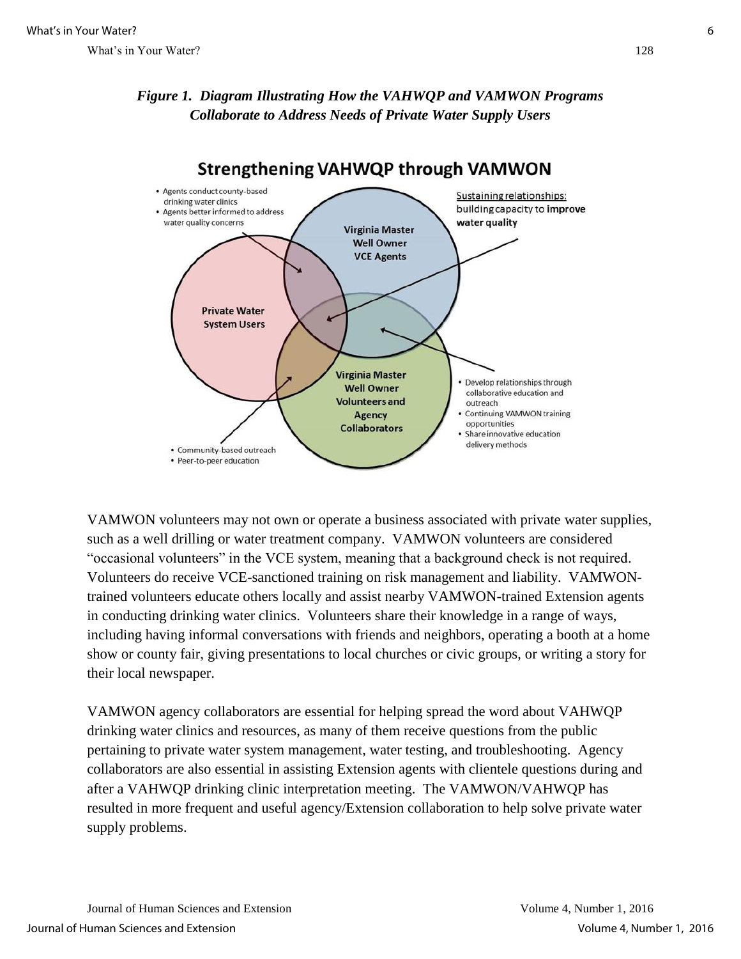## *Figure 1. Diagram Illustrating How the VAHWQP and VAMWON Programs Collaborate to Address Needs of Private Water Supply Users*



**Strengthening VAHWQP through VAMWON** 

VAMWON volunteers may not own or operate a business associated with private water supplies, such as a well drilling or water treatment company. VAMWON volunteers are considered "occasional volunteers" in the VCE system, meaning that a background check is not required. Volunteers do receive VCE-sanctioned training on risk management and liability. VAMWONtrained volunteers educate others locally and assist nearby VAMWON-trained Extension agents in conducting drinking water clinics. Volunteers share their knowledge in a range of ways, including having informal conversations with friends and neighbors, operating a booth at a home show or county fair, giving presentations to local churches or civic groups, or writing a story for their local newspaper.

VAMWON agency collaborators are essential for helping spread the word about VAHWQP drinking water clinics and resources, as many of them receive questions from the public pertaining to private water system management, water testing, and troubleshooting. Agency collaborators are also essential in assisting Extension agents with clientele questions during and after a VAHWQP drinking clinic interpretation meeting. The VAMWON/VAHWQP has resulted in more frequent and useful agency/Extension collaboration to help solve private water supply problems.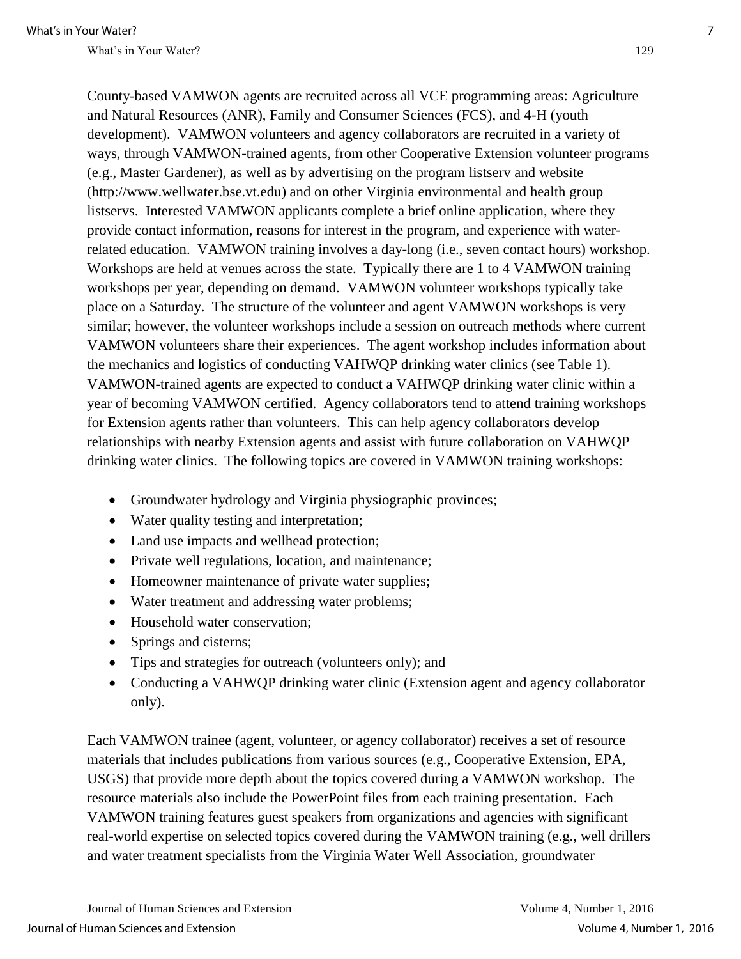County-based VAMWON agents are recruited across all VCE programming areas: Agriculture and Natural Resources (ANR), Family and Consumer Sciences (FCS), and 4-H (youth development). VAMWON volunteers and agency collaborators are recruited in a variety of ways, through VAMWON-trained agents, from other Cooperative Extension volunteer programs (e.g., Master Gardener), as well as by advertising on the program listserv and website (http://www.wellwater.bse.vt.edu) and on other Virginia environmental and health group listservs. Interested VAMWON applicants complete a brief online application, where they provide contact information, reasons for interest in the program, and experience with waterrelated education. VAMWON training involves a day-long (i.e., seven contact hours) workshop. Workshops are held at venues across the state. Typically there are 1 to 4 VAMWON training workshops per year, depending on demand. VAMWON volunteer workshops typically take place on a Saturday. The structure of the volunteer and agent VAMWON workshops is very similar; however, the volunteer workshops include a session on outreach methods where current VAMWON volunteers share their experiences. The agent workshop includes information about the mechanics and logistics of conducting VAHWQP drinking water clinics (see Table 1). VAMWON-trained agents are expected to conduct a VAHWQP drinking water clinic within a year of becoming VAMWON certified. Agency collaborators tend to attend training workshops for Extension agents rather than volunteers. This can help agency collaborators develop relationships with nearby Extension agents and assist with future collaboration on VAHWQP drinking water clinics. The following topics are covered in VAMWON training workshops:

- Groundwater hydrology and Virginia physiographic provinces;
- Water quality testing and interpretation;
- Land use impacts and wellhead protection;
- Private well regulations, location, and maintenance;
- Homeowner maintenance of private water supplies;
- Water treatment and addressing water problems;
- Household water conservation;
- Springs and cisterns;
- Tips and strategies for outreach (volunteers only); and
- Conducting a VAHWQP drinking water clinic (Extension agent and agency collaborator only).

Each VAMWON trainee (agent, volunteer, or agency collaborator) receives a set of resource materials that includes publications from various sources (e.g., Cooperative Extension, EPA, USGS) that provide more depth about the topics covered during a VAMWON workshop. The resource materials also include the PowerPoint files from each training presentation. Each VAMWON training features guest speakers from organizations and agencies with significant real-world expertise on selected topics covered during the VAMWON training (e.g., well drillers and water treatment specialists from the Virginia Water Well Association, groundwater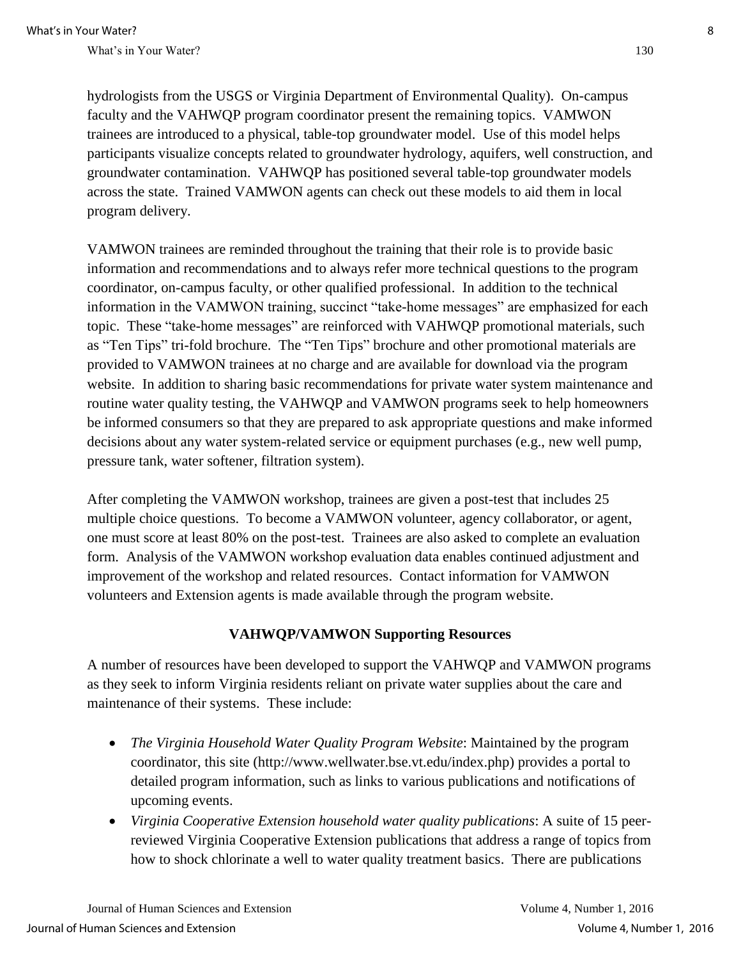hydrologists from the USGS or Virginia Department of Environmental Quality). On-campus faculty and the VAHWQP program coordinator present the remaining topics. VAMWON trainees are introduced to a physical, table-top groundwater model. Use of this model helps participants visualize concepts related to groundwater hydrology, aquifers, well construction, and groundwater contamination. VAHWQP has positioned several table-top groundwater models across the state. Trained VAMWON agents can check out these models to aid them in local program delivery.

VAMWON trainees are reminded throughout the training that their role is to provide basic information and recommendations and to always refer more technical questions to the program coordinator, on-campus faculty, or other qualified professional. In addition to the technical information in the VAMWON training, succinct "take-home messages" are emphasized for each topic. These "take-home messages" are reinforced with VAHWQP promotional materials, such as "Ten Tips" tri-fold brochure. The "Ten Tips" brochure and other promotional materials are provided to VAMWON trainees at no charge and are available for download via the program website. In addition to sharing basic recommendations for private water system maintenance and routine water quality testing, the VAHWQP and VAMWON programs seek to help homeowners be informed consumers so that they are prepared to ask appropriate questions and make informed decisions about any water system-related service or equipment purchases (e.g., new well pump, pressure tank, water softener, filtration system).

After completing the VAMWON workshop, trainees are given a post-test that includes 25 multiple choice questions. To become a VAMWON volunteer, agency collaborator, or agent, one must score at least 80% on the post-test. Trainees are also asked to complete an evaluation form. Analysis of the VAMWON workshop evaluation data enables continued adjustment and improvement of the workshop and related resources. Contact information for VAMWON volunteers and Extension agents is made available through the program website.

### **VAHWQP/VAMWON Supporting Resources**

A number of resources have been developed to support the VAHWQP and VAMWON programs as they seek to inform Virginia residents reliant on private water supplies about the care and maintenance of their systems. These include:

- *The Virginia Household Water Quality Program Website*: Maintained by the program coordinator, this site (http://www.wellwater.bse.vt.edu/index.php) provides a portal to detailed program information, such as links to various publications and notifications of upcoming events.
- *Virginia Cooperative Extension household water quality publications*: A suite of 15 peerreviewed Virginia Cooperative Extension publications that address a range of topics from how to shock chlorinate a well to water quality treatment basics. There are publications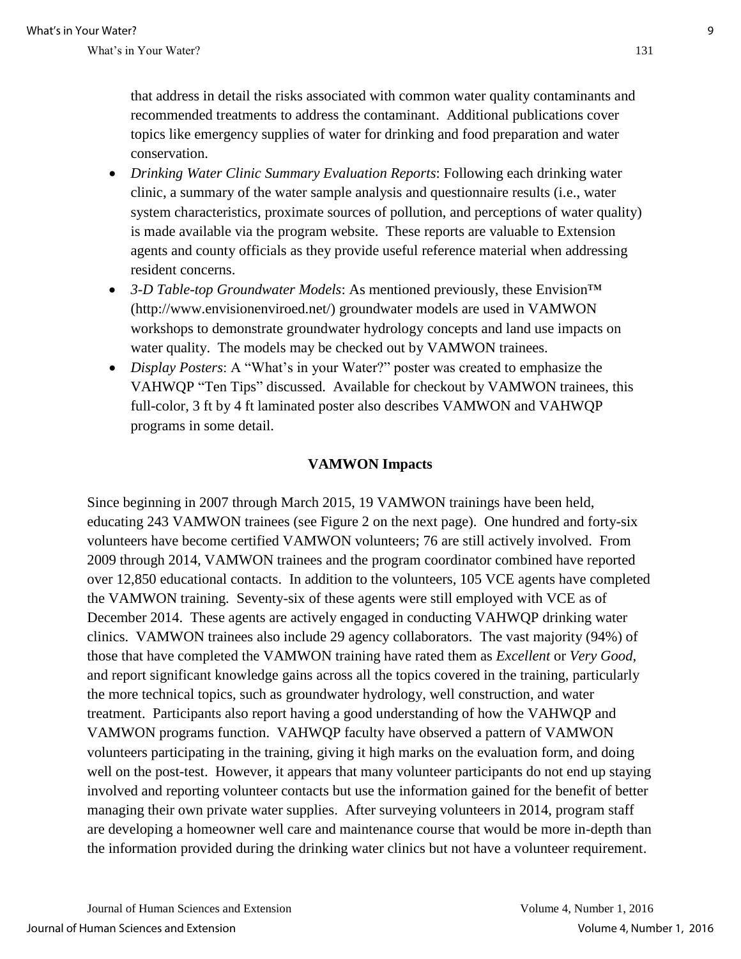that address in detail the risks associated with common water quality contaminants and recommended treatments to address the contaminant. Additional publications cover topics like emergency supplies of water for drinking and food preparation and water conservation.

- *Drinking Water Clinic Summary Evaluation Reports*: Following each drinking water clinic, a summary of the water sample analysis and questionnaire results (i.e., water system characteristics, proximate sources of pollution, and perceptions of water quality) is made available via the program website. These reports are valuable to Extension agents and county officials as they provide useful reference material when addressing resident concerns.
- *3-D Table-top Groundwater Models*: As mentioned previously, these Envision™ (http://www.envisionenviroed.net/) groundwater models are used in VAMWON workshops to demonstrate groundwater hydrology concepts and land use impacts on water quality. The models may be checked out by VAMWON trainees.
- *Display Posters*: A "What's in your Water?" poster was created to emphasize the VAHWQP "Ten Tips" discussed. Available for checkout by VAMWON trainees, this full-color, 3 ft by 4 ft laminated poster also describes VAMWON and VAHWQP programs in some detail.

#### **VAMWON Impacts**

Since beginning in 2007 through March 2015, 19 VAMWON trainings have been held, educating 243 VAMWON trainees (see Figure 2 on the next page). One hundred and forty-six volunteers have become certified VAMWON volunteers; 76 are still actively involved. From 2009 through 2014, VAMWON trainees and the program coordinator combined have reported over 12,850 educational contacts. In addition to the volunteers, 105 VCE agents have completed the VAMWON training. Seventy-six of these agents were still employed with VCE as of December 2014. These agents are actively engaged in conducting VAHWQP drinking water clinics. VAMWON trainees also include 29 agency collaborators. The vast majority (94%) of those that have completed the VAMWON training have rated them as *Excellent* or *Very Good*, and report significant knowledge gains across all the topics covered in the training, particularly the more technical topics, such as groundwater hydrology, well construction, and water treatment. Participants also report having a good understanding of how the VAHWQP and VAMWON programs function. VAHWQP faculty have observed a pattern of VAMWON volunteers participating in the training, giving it high marks on the evaluation form, and doing well on the post-test. However, it appears that many volunteer participants do not end up staying involved and reporting volunteer contacts but use the information gained for the benefit of better managing their own private water supplies. After surveying volunteers in 2014, program staff are developing a homeowner well care and maintenance course that would be more in-depth than the information provided during the drinking water clinics but not have a volunteer requirement.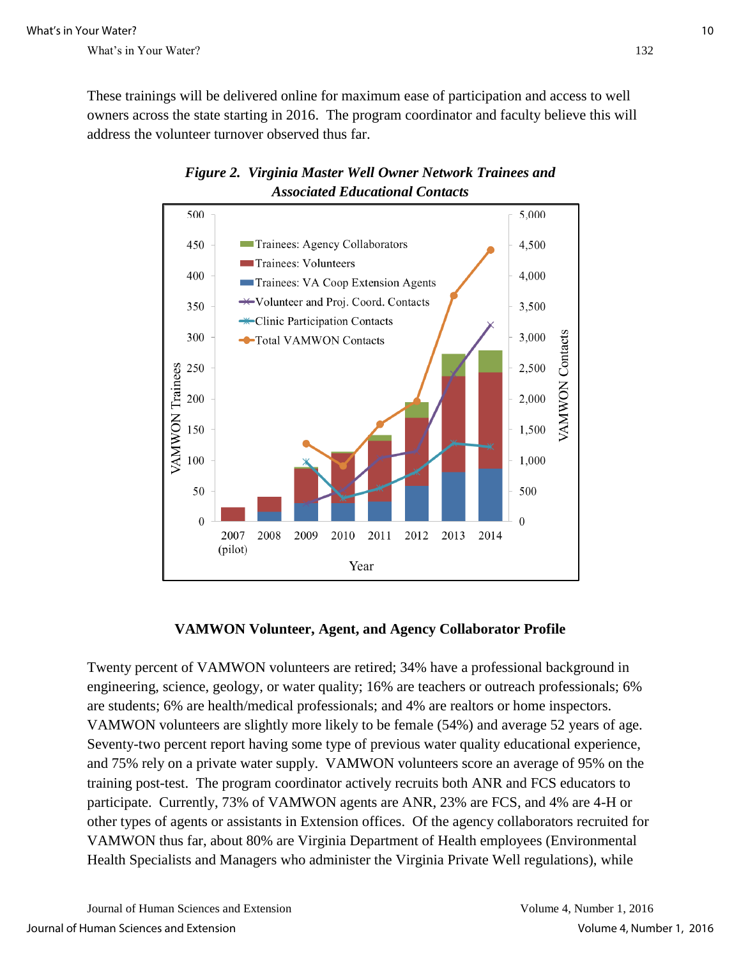These trainings will be delivered online for maximum ease of participation and access to well owners across the state starting in 2016. The program coordinator and faculty believe this will address the volunteer turnover observed thus far.





### **VAMWON Volunteer, Agent, and Agency Collaborator Profile**

Twenty percent of VAMWON volunteers are retired; 34% have a professional background in engineering, science, geology, or water quality; 16% are teachers or outreach professionals; 6% are students; 6% are health/medical professionals; and 4% are realtors or home inspectors. VAMWON volunteers are slightly more likely to be female (54%) and average 52 years of age. Seventy-two percent report having some type of previous water quality educational experience, and 75% rely on a private water supply. VAMWON volunteers score an average of 95% on the training post-test. The program coordinator actively recruits both ANR and FCS educators to participate. Currently, 73% of VAMWON agents are ANR, 23% are FCS, and 4% are 4-H or other types of agents or assistants in Extension offices. Of the agency collaborators recruited for VAMWON thus far, about 80% are Virginia Department of Health employees (Environmental Health Specialists and Managers who administer the Virginia Private Well regulations), while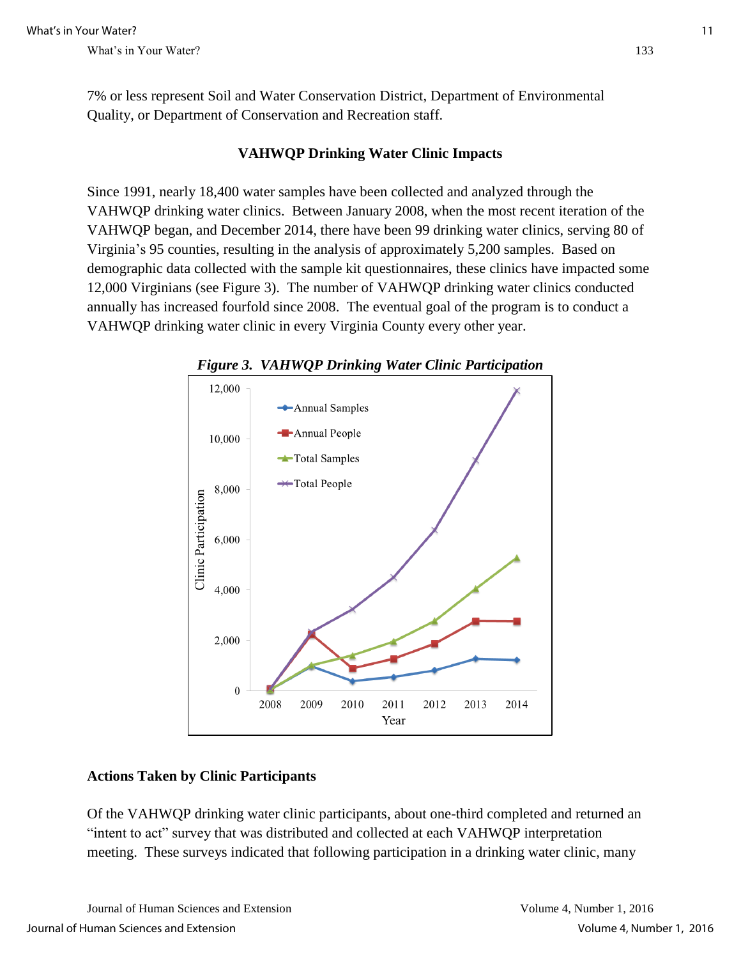7% or less represent Soil and Water Conservation District, Department of Environmental Quality, or Department of Conservation and Recreation staff.

### **VAHWQP Drinking Water Clinic Impacts**

Since 1991, nearly 18,400 water samples have been collected and analyzed through the VAHWQP drinking water clinics. Between January 2008, when the most recent iteration of the VAHWQP began, and December 2014, there have been 99 drinking water clinics, serving 80 of Virginia's 95 counties, resulting in the analysis of approximately 5,200 samples. Based on demographic data collected with the sample kit questionnaires, these clinics have impacted some 12,000 Virginians (see Figure 3). The number of VAHWQP drinking water clinics conducted annually has increased fourfold since 2008. The eventual goal of the program is to conduct a VAHWQP drinking water clinic in every Virginia County every other year.



*Figure 3. VAHWQP Drinking Water Clinic Participation*

### **Actions Taken by Clinic Participants**

Of the VAHWQP drinking water clinic participants, about one-third completed and returned an "intent to act" survey that was distributed and collected at each VAHWQP interpretation meeting. These surveys indicated that following participation in a drinking water clinic, many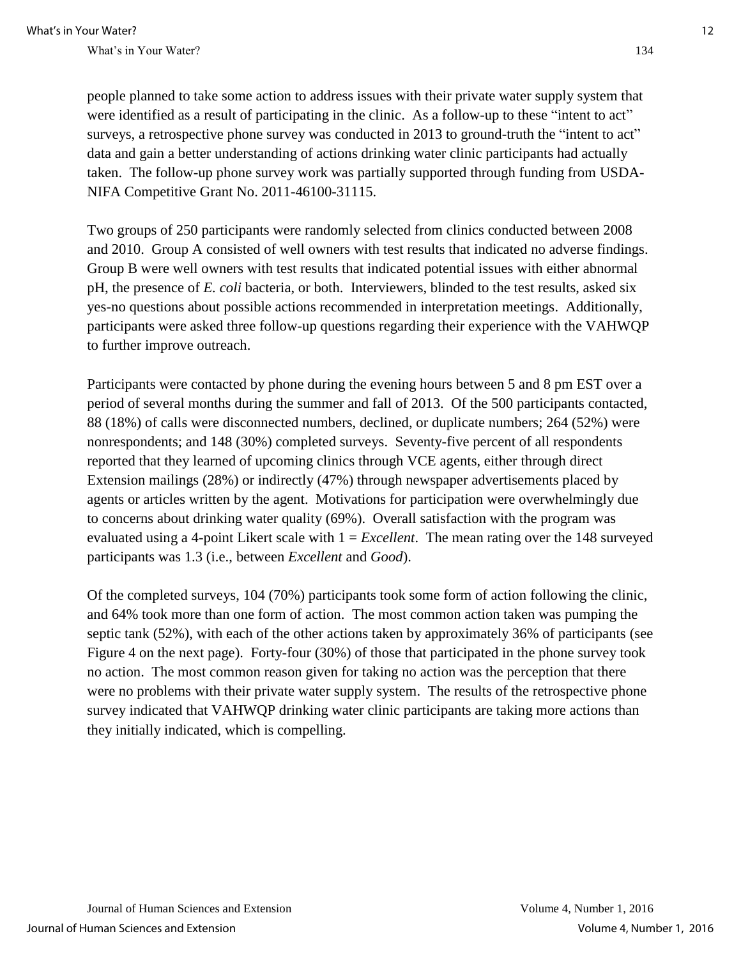people planned to take some action to address issues with their private water supply system that were identified as a result of participating in the clinic. As a follow-up to these "intent to act" surveys, a retrospective phone survey was conducted in 2013 to ground-truth the "intent to act" data and gain a better understanding of actions drinking water clinic participants had actually taken. The follow-up phone survey work was partially supported through funding from USDA-NIFA Competitive Grant No. 2011-46100-31115.

Two groups of 250 participants were randomly selected from clinics conducted between 2008 and 2010. Group A consisted of well owners with test results that indicated no adverse findings. Group B were well owners with test results that indicated potential issues with either abnormal pH, the presence of *E. coli* bacteria, or both. Interviewers, blinded to the test results, asked six yes-no questions about possible actions recommended in interpretation meetings. Additionally, participants were asked three follow-up questions regarding their experience with the VAHWQP to further improve outreach.

Participants were contacted by phone during the evening hours between 5 and 8 pm EST over a period of several months during the summer and fall of 2013. Of the 500 participants contacted, 88 (18%) of calls were disconnected numbers, declined, or duplicate numbers; 264 (52%) were nonrespondents; and 148 (30%) completed surveys. Seventy-five percent of all respondents reported that they learned of upcoming clinics through VCE agents, either through direct Extension mailings (28%) or indirectly (47%) through newspaper advertisements placed by agents or articles written by the agent. Motivations for participation were overwhelmingly due to concerns about drinking water quality (69%). Overall satisfaction with the program was evaluated using a 4-point Likert scale with 1 = *Excellent*. The mean rating over the 148 surveyed participants was 1.3 (i.e., between *Excellent* and *Good*).

Of the completed surveys, 104 (70%) participants took some form of action following the clinic, and 64% took more than one form of action. The most common action taken was pumping the septic tank (52%), with each of the other actions taken by approximately 36% of participants (see Figure 4 on the next page). Forty-four (30%) of those that participated in the phone survey took no action. The most common reason given for taking no action was the perception that there were no problems with their private water supply system. The results of the retrospective phone survey indicated that VAHWQP drinking water clinic participants are taking more actions than they initially indicated, which is compelling.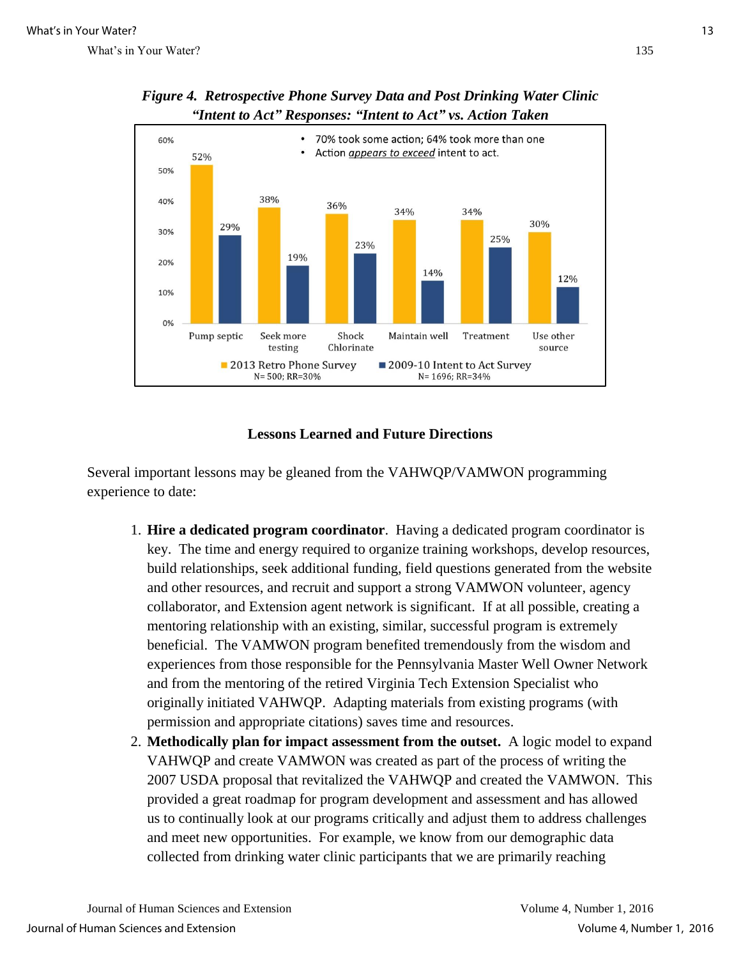

*Figure 4. Retrospective Phone Survey Data and Post Drinking Water Clinic "Intent to Act" Responses: "Intent to Act" vs. Action Taken* 

#### **Lessons Learned and Future Directions**

Several important lessons may be gleaned from the VAHWQP/VAMWON programming experience to date:

- 1. **Hire a dedicated program coordinator**. Having a dedicated program coordinator is key. The time and energy required to organize training workshops, develop resources, build relationships, seek additional funding, field questions generated from the website and other resources, and recruit and support a strong VAMWON volunteer, agency collaborator, and Extension agent network is significant. If at all possible, creating a mentoring relationship with an existing, similar, successful program is extremely beneficial. The VAMWON program benefited tremendously from the wisdom and experiences from those responsible for the Pennsylvania Master Well Owner Network and from the mentoring of the retired Virginia Tech Extension Specialist who originally initiated VAHWQP. Adapting materials from existing programs (with permission and appropriate citations) saves time and resources.
- 2. **Methodically plan for impact assessment from the outset.** A logic model to expand VAHWQP and create VAMWON was created as part of the process of writing the 2007 USDA proposal that revitalized the VAHWQP and created the VAMWON. This provided a great roadmap for program development and assessment and has allowed us to continually look at our programs critically and adjust them to address challenges and meet new opportunities. For example, we know from our demographic data collected from drinking water clinic participants that we are primarily reaching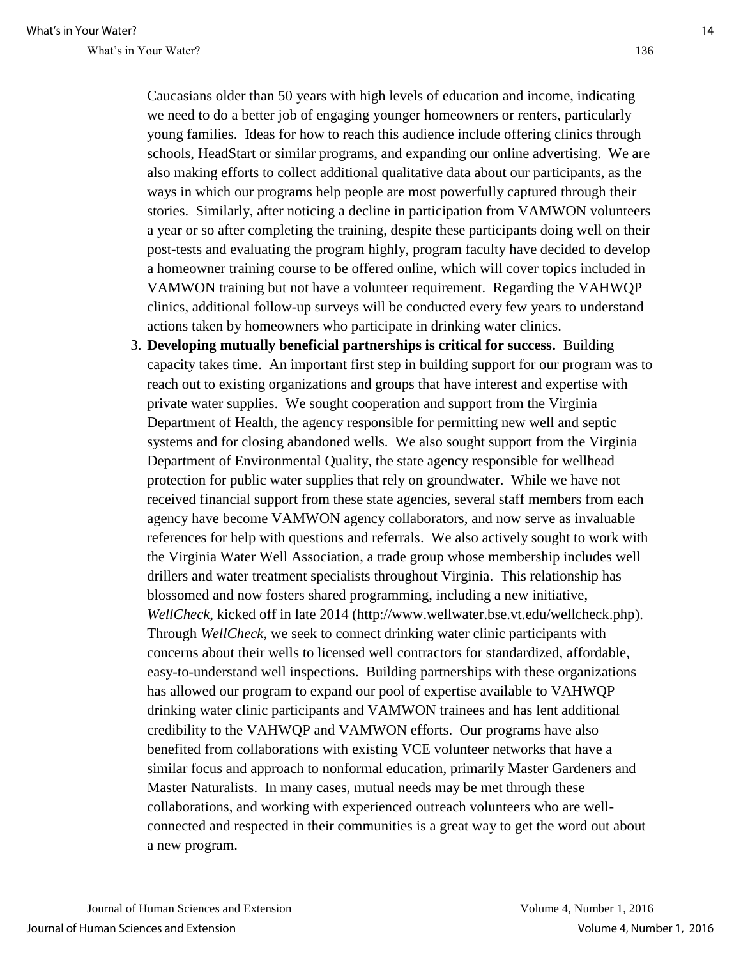Caucasians older than 50 years with high levels of education and income, indicating we need to do a better job of engaging younger homeowners or renters, particularly young families. Ideas for how to reach this audience include offering clinics through schools, HeadStart or similar programs, and expanding our online advertising. We are also making efforts to collect additional qualitative data about our participants, as the ways in which our programs help people are most powerfully captured through their stories. Similarly, after noticing a decline in participation from VAMWON volunteers a year or so after completing the training, despite these participants doing well on their post-tests and evaluating the program highly, program faculty have decided to develop a homeowner training course to be offered online, which will cover topics included in VAMWON training but not have a volunteer requirement. Regarding the VAHWQP clinics, additional follow-up surveys will be conducted every few years to understand actions taken by homeowners who participate in drinking water clinics.

3. **Developing mutually beneficial partnerships is critical for success.** Building capacity takes time. An important first step in building support for our program was to reach out to existing organizations and groups that have interest and expertise with private water supplies. We sought cooperation and support from the Virginia Department of Health, the agency responsible for permitting new well and septic systems and for closing abandoned wells. We also sought support from the Virginia Department of Environmental Quality, the state agency responsible for wellhead protection for public water supplies that rely on groundwater. While we have not received financial support from these state agencies, several staff members from each agency have become VAMWON agency collaborators, and now serve as invaluable references for help with questions and referrals. We also actively sought to work with the Virginia Water Well Association, a trade group whose membership includes well drillers and water treatment specialists throughout Virginia. This relationship has blossomed and now fosters shared programming, including a new initiative, *WellCheck*, kicked off in late 2014 (http://www.wellwater.bse.vt.edu/wellcheck.php). Through *WellCheck*, we seek to connect drinking water clinic participants with concerns about their wells to licensed well contractors for standardized, affordable, easy-to-understand well inspections. Building partnerships with these organizations has allowed our program to expand our pool of expertise available to VAHWQP drinking water clinic participants and VAMWON trainees and has lent additional credibility to the VAHWQP and VAMWON efforts. Our programs have also benefited from collaborations with existing VCE volunteer networks that have a similar focus and approach to nonformal education, primarily Master Gardeners and Master Naturalists. In many cases, mutual needs may be met through these collaborations, and working with experienced outreach volunteers who are wellconnected and respected in their communities is a great way to get the word out about a new program.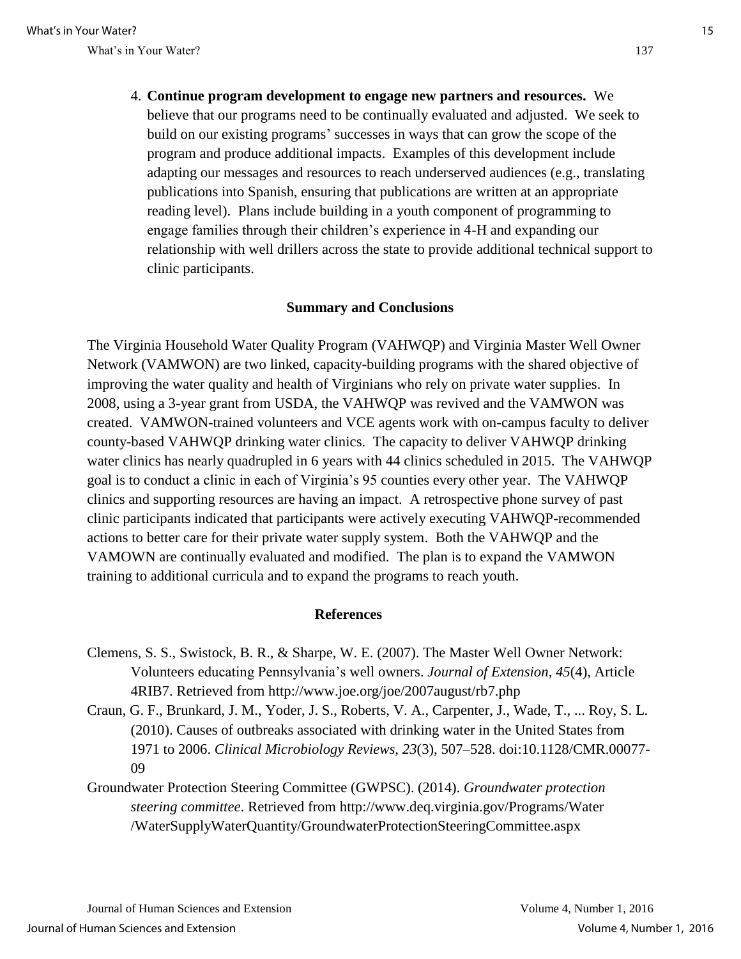4. **Continue program development to engage new partners and resources.** We believe that our programs need to be continually evaluated and adjusted. We seek to build on our existing programs' successes in ways that can grow the scope of the program and produce additional impacts. Examples of this development include adapting our messages and resources to reach underserved audiences (e.g., translating publications into Spanish, ensuring that publications are written at an appropriate reading level). Plans include building in a youth component of programming to engage families through their children's experience in 4-H and expanding our relationship with well drillers across the state to provide additional technical support to clinic participants.

#### **Summary and Conclusions**

The Virginia Household Water Quality Program (VAHWQP) and Virginia Master Well Owner Network (VAMWON) are two linked, capacity-building programs with the shared objective of improving the water quality and health of Virginians who rely on private water supplies. In 2008, using a 3-year grant from USDA, the VAHWQP was revived and the VAMWON was created. VAMWON-trained volunteers and VCE agents work with on-campus faculty to deliver county-based VAHWQP drinking water clinics. The capacity to deliver VAHWQP drinking water clinics has nearly quadrupled in 6 years with 44 clinics scheduled in 2015. The VAHWQP goal is to conduct a clinic in each of Virginia's 95 counties every other year. The VAHWQP clinics and supporting resources are having an impact. A retrospective phone survey of past clinic participants indicated that participants were actively executing VAHWQP-recommended actions to better care for their private water supply system. Both the VAHWQP and the VAMOWN are continually evaluated and modified. The plan is to expand the VAMWON training to additional curricula and to expand the programs to reach youth.

#### **References**

- Clemens, S. S., Swistock, B. R., & Sharpe, W. E. (2007). The Master Well Owner Network: Volunteers educating Pennsylvania's well owners. *Journal of Extension, 45*(4), Article 4RIB7. Retrieved from http://www.joe.org/joe/2007august/rb7.php
- Craun, G. F., Brunkard, J. M., Yoder, J. S., Roberts, V. A., Carpenter, J., Wade, T., ... Roy, S. L. (2010). Causes of outbreaks associated with drinking water in the United States from 1971 to 2006. *Clinical Microbiology Reviews, 23*(3), 507–528. doi:10.1128/CMR.00077- 09
- Groundwater Protection Steering Committee (GWPSC). (2014). *Groundwater protection steering committee*. Retrieved from http://www.deq.virginia.gov/Programs/Water /WaterSupplyWaterQuantity/GroundwaterProtectionSteeringCommittee.aspx